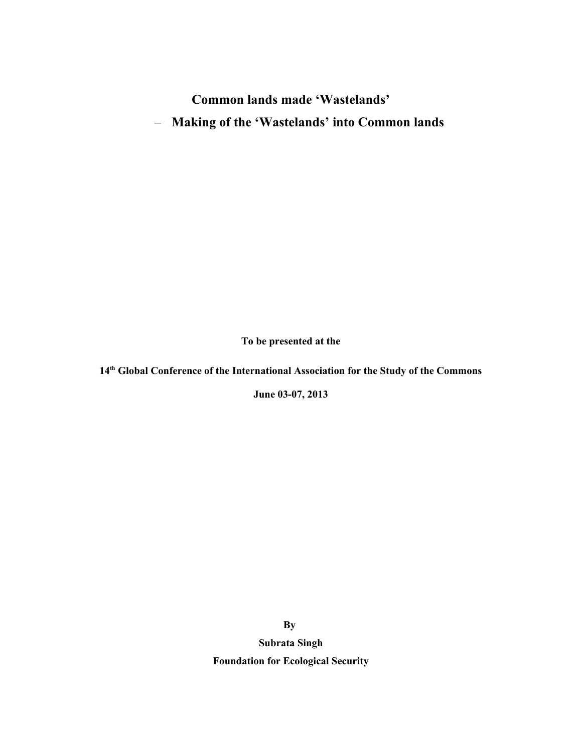# **Common lands made 'Wastelands'**

– **Making of the 'Wastelands' into Common lands**

**To be presented at the**

**14th Global Conference of the International Association for the Study of the Commons**

**June 03-07, 2013**

**By** 

**Subrata Singh Foundation for Ecological Security**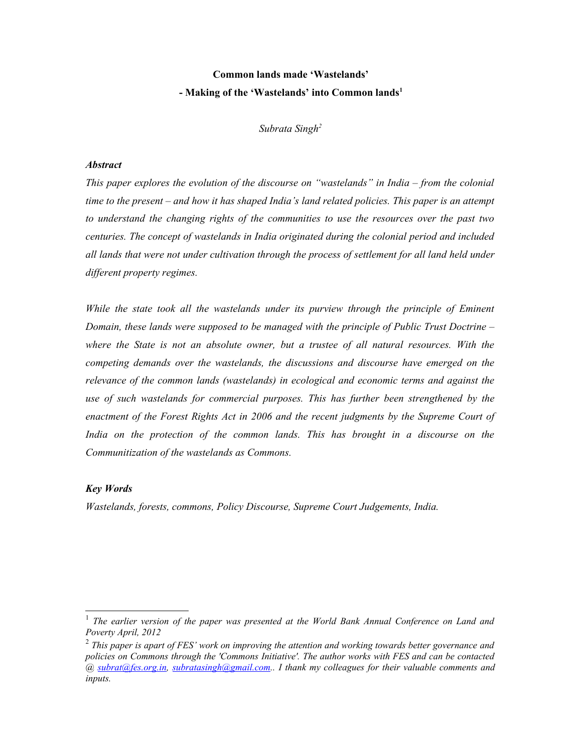# **Common lands made 'Wastelands' - Making of the 'Wastelands' into Common lands[1](#page-1-0)**

*Subrata Singh[2](#page-1-1)*

## *Abstract*

*This paper explores the evolution of the discourse on "wastelands" in India – from the colonial time to the present – and how it has shaped India's land related policies. This paper is an attempt to understand the changing rights of the communities to use the resources over the past two centuries. The concept of wastelands in India originated during the colonial period and included all lands that were not under cultivation through the process of settlement for all land held under different property regimes.* 

*While the state took all the wastelands under its purview through the principle of Eminent Domain, these lands were supposed to be managed with the principle of Public Trust Doctrine – where the State is not an absolute owner, but a trustee of all natural resources. With the competing demands over the wastelands, the discussions and discourse have emerged on the relevance of the common lands (wastelands) in ecological and economic terms and against the use of such wastelands for commercial purposes. This has further been strengthened by the enactment of the Forest Rights Act in 2006 and the recent judgments by the Supreme Court of India on the protection of the common lands. This has brought in a discourse on the Communitization of the wastelands as Commons.*

## *Key Words*

*Wastelands, forests, commons, Policy Discourse, Supreme Court Judgements, India.* 

<span id="page-1-0"></span><sup>1</sup> *The earlier version of the paper was presented at the World Bank Annual Conference on Land and Poverty April, 2012*

<span id="page-1-1"></span><sup>2</sup>  *This paper is apart of FES' work on improving the attention and working towards better governance and policies on Commons through the 'Commons Initiative'. The author works with FES and can be contacted @ [subrat@fes.org.in,](mailto:subrat@fes.org.in) [subratasingh@gmail.com.](mailto:subratasingh@yahoo.com). I thank my colleagues for their valuable comments and inputs.*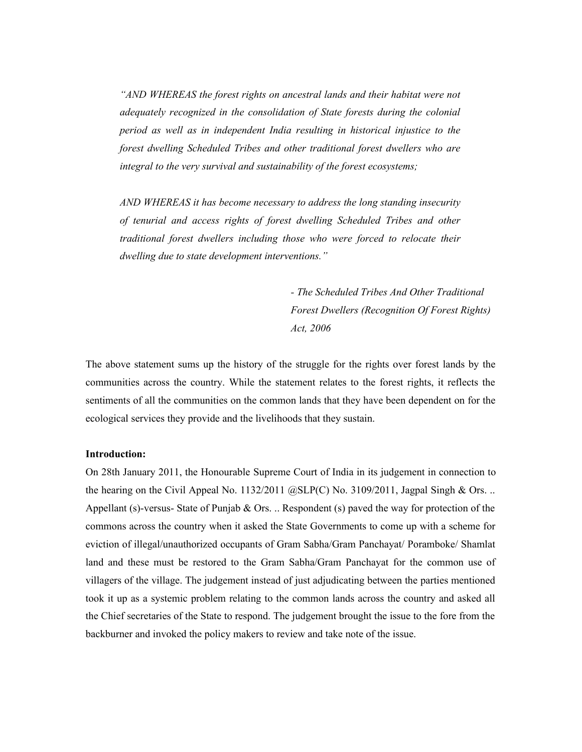*"AND WHEREAS the forest rights on ancestral lands and their habitat were not adequately recognized in the consolidation of State forests during the colonial period as well as in independent India resulting in historical injustice to the forest dwelling Scheduled Tribes and other traditional forest dwellers who are integral to the very survival and sustainability of the forest ecosystems;*

*AND WHEREAS it has become necessary to address the long standing insecurity of tenurial and access rights of forest dwelling Scheduled Tribes and other traditional forest dwellers including those who were forced to relocate their dwelling due to state development interventions."*

> *- The Scheduled Tribes And Other Traditional Forest Dwellers (Recognition Of Forest Rights) Act, 2006*

The above statement sums up the history of the struggle for the rights over forest lands by the communities across the country. While the statement relates to the forest rights, it reflects the sentiments of all the communities on the common lands that they have been dependent on for the ecological services they provide and the livelihoods that they sustain.

## **Introduction:**

On 28th January 2011, the Honourable Supreme Court of India in its judgement in connection to the hearing on the Civil Appeal No.  $1132/2011$  ( $\alpha$ SLP(C) No.  $3109/2011$ , Jagpal Singh & Ors. .. Appellant (s)-versus- State of Punjab & Ors.  $\ldots$  Respondent (s) paved the way for protection of the commons across the country when it asked the State Governments to come up with a scheme for eviction of illegal/unauthorized occupants of Gram Sabha/Gram Panchayat/ Poramboke/ Shamlat land and these must be restored to the Gram Sabha/Gram Panchayat for the common use of villagers of the village. The judgement instead of just adjudicating between the parties mentioned took it up as a systemic problem relating to the common lands across the country and asked all the Chief secretaries of the State to respond. The judgement brought the issue to the fore from the backburner and invoked the policy makers to review and take note of the issue.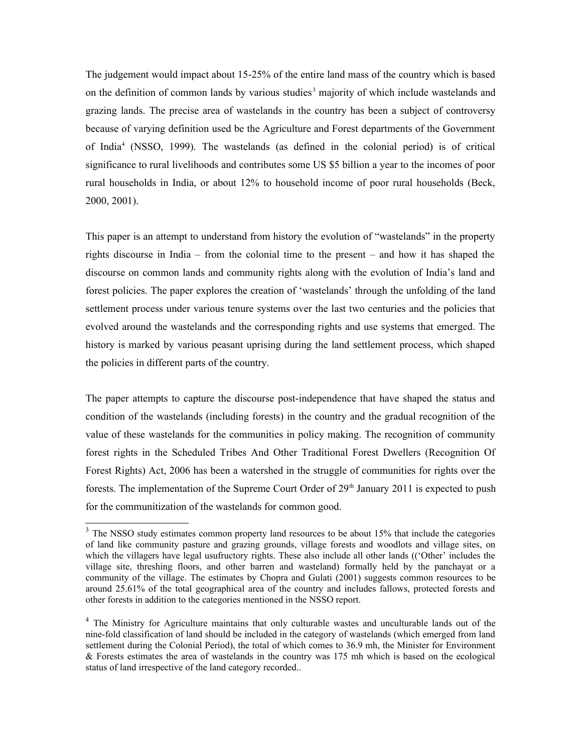The judgement would impact about 15-25% of the entire land mass of the country which is based on the definition of common lands by various studies<sup>[3](#page-3-0)</sup> majority of which include wastelands and grazing lands. The precise area of wastelands in the country has been a subject of controversy because of varying definition used be the Agriculture and Forest departments of the Government of India<sup>[4](#page-3-1)</sup> (NSSO, 1999). The wastelands (as defined in the colonial period) is of critical significance to rural livelihoods and contributes some US \$5 billion a year to the incomes of poor rural households in India, or about 12% to household income of poor rural households (Beck, 2000, 2001).

This paper is an attempt to understand from history the evolution of "wastelands" in the property rights discourse in India – from the colonial time to the present – and how it has shaped the discourse on common lands and community rights along with the evolution of India's land and forest policies. The paper explores the creation of 'wastelands' through the unfolding of the land settlement process under various tenure systems over the last two centuries and the policies that evolved around the wastelands and the corresponding rights and use systems that emerged. The history is marked by various peasant uprising during the land settlement process, which shaped the policies in different parts of the country.

The paper attempts to capture the discourse post-independence that have shaped the status and condition of the wastelands (including forests) in the country and the gradual recognition of the value of these wastelands for the communities in policy making. The recognition of community forest rights in the Scheduled Tribes And Other Traditional Forest Dwellers (Recognition Of Forest Rights) Act, 2006 has been a watershed in the struggle of communities for rights over the forests. The implementation of the Supreme Court Order of  $29<sup>th</sup>$  January 2011 is expected to push for the communitization of the wastelands for common good.

<span id="page-3-0"></span> $3$  The NSSO study estimates common property land resources to be about 15% that include the categories of land like community pasture and grazing grounds, village forests and woodlots and village sites, on which the villagers have legal usufructory rights. These also include all other lands (('Other' includes the village site, threshing floors, and other barren and wasteland) formally held by the panchayat or a community of the village. The estimates by Chopra and Gulati (2001) suggests common resources to be around 25.61% of the total geographical area of the country and includes fallows, protected forests and other forests in addition to the categories mentioned in the NSSO report.

<span id="page-3-1"></span><sup>&</sup>lt;sup>4</sup> The Ministry for Agriculture maintains that only culturable wastes and unculturable lands out of the nine-fold classification of land should be included in the category of wastelands (which emerged from land settlement during the Colonial Period), the total of which comes to 36.9 mh, the Minister for Environment & Forests estimates the area of wastelands in the country was 175 mh which is based on the ecological status of land irrespective of the land category recorded..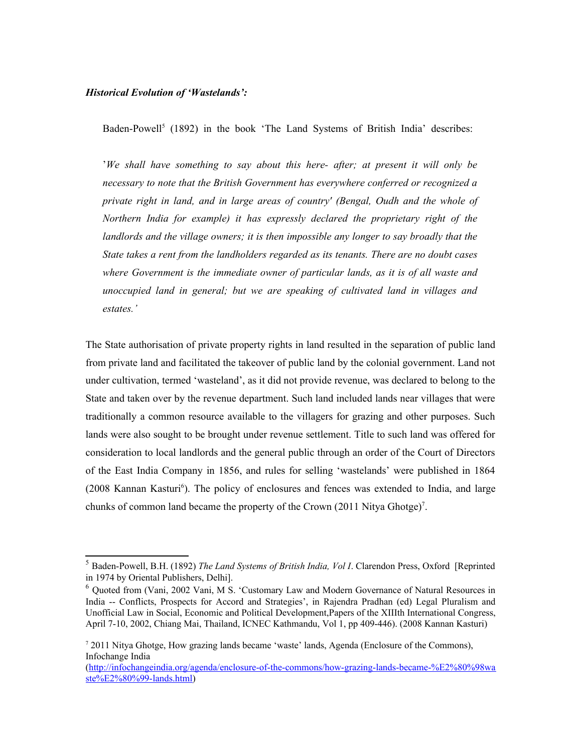## *Historical Evolution of 'Wastelands':*

Baden-Powell<sup>[5](#page-4-0)</sup> (1892) in the book 'The Land Systems of British India' describes:

'*We shall have something to say about this here- after; at present it will only be necessary to note that the British Government has everywhere conferred or recognized a private right in land, and in large areas of country' (Bengal, Oudh and the whole of Northern India for example) it has expressly declared the proprietary right of the landlords and the village owners; it is then impossible any longer to say broadly that the State takes a rent from the landholders regarded as its tenants. There are no doubt cases where Government is the immediate owner of particular lands, as it is of all waste and unoccupied land in general; but we are speaking of cultivated land in villages and estates.'* 

The State authorisation of private property rights in land resulted in the separation of public land from private land and facilitated the takeover of public land by the colonial government. Land not under cultivation, termed 'wasteland', as it did not provide revenue, was declared to belong to the State and taken over by the revenue department. Such land included lands near villages that were traditionally a common resource available to the villagers for grazing and other purposes. Such lands were also sought to be brought under revenue settlement. Title to such land was offered for consideration to local landlords and the general public through an order of the Court of Directors of the East India Company in 1856, and rules for selling 'wastelands' were published in 1864 (2008 Kannan Kasturi<sup>[6](#page-4-1)</sup>). The policy of enclosures and fences was extended to India, and large chunks of common land became the property of the Crown (2011 Nitya Ghotge)<sup>[7](#page-4-2)</sup>.

<span id="page-4-0"></span><sup>5</sup> Baden-Powell, B.H. (1892) *The Land Systems of British India, Vol I*. Clarendon Press, Oxford [Reprinted in 1974 by Oriental Publishers, Delhi].

<span id="page-4-1"></span><sup>&</sup>lt;sup>6</sup> Quoted from (Vani, 2002 Vani, M S. 'Customary Law and Modern Governance of Natural Resources in India -- Conflicts, Prospects for Accord and Strategies', in Rajendra Pradhan (ed) Legal Pluralism and Unofficial Law in Social, Economic and Political Development,Papers of the XIIIth International Congress, April 7-10, 2002, Chiang Mai, Thailand, ICNEC Kathmandu, Vol 1, pp 409-446). (2008 Kannan Kasturi)

<span id="page-4-2"></span><sup>&</sup>lt;sup>7</sup> 2011 Nitya Ghotge, How grazing lands became 'waste' lands, Agenda (Enclosure of the Commons), Infochange India

[<sup>\(</sup>http://infochangeindia.org/agenda/enclosure-of-the-commons/how-grazing-lands-became-%E2%80%98wa](http://infochangeindia.org/agenda/enclosure-of-the-commons/how-grazing-lands-became-%E2%80%98waste%E2%80%99-lands.html) [ste%E2%80%99-lands.html\)](http://infochangeindia.org/agenda/enclosure-of-the-commons/how-grazing-lands-became-%E2%80%98waste%E2%80%99-lands.html)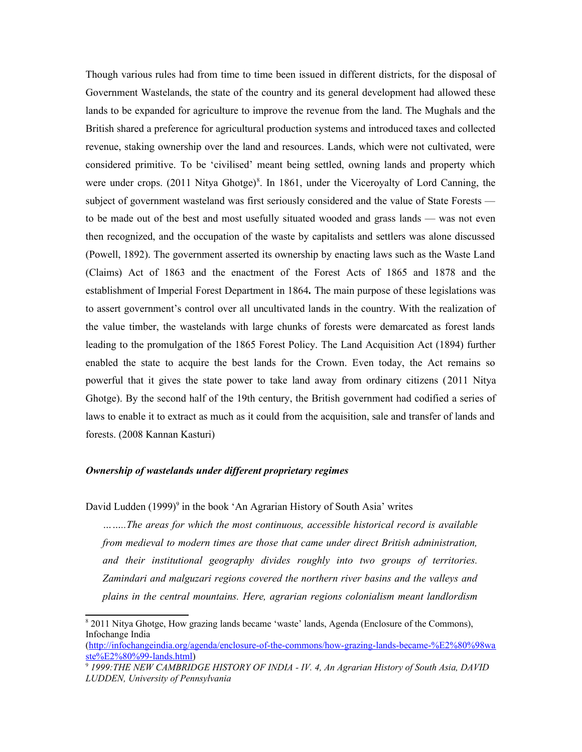Though various rules had from time to time been issued in different districts, for the disposal of Government Wastelands, the state of the country and its general development had allowed these lands to be expanded for agriculture to improve the revenue from the land. The Mughals and the British shared a preference for agricultural production systems and introduced taxes and collected revenue, staking ownership over the land and resources. Lands, which were not cultivated, were considered primitive. To be 'civilised' meant being settled, owning lands and property which were under crops. (2011 Nitya Ghotge)<sup>[8](#page-5-0)</sup>. In 1861, under the Viceroyalty of Lord Canning, the subject of government wasteland was first seriously considered and the value of State Forests to be made out of the best and most usefully situated wooded and grass lands — was not even then recognized, and the occupation of the waste by capitalists and settlers was alone discussed (Powell, 1892). The government asserted its ownership by enacting laws such as the Waste Land (Claims) Act of 1863 and the enactment of the Forest Acts of 1865 and 1878 and the establishment of Imperial Forest Department in 1864*.* The main purpose of these legislations was to assert government's control over all uncultivated lands in the country. With the realization of the value timber, the wastelands with large chunks of forests were demarcated as forest lands leading to the promulgation of the 1865 Forest Policy. The Land Acquisition Act (1894) further enabled the state to acquire the best lands for the Crown. Even today, the Act remains so powerful that it gives the state power to take land away from ordinary citizens (2011 Nitya Ghotge). By the second half of the 19th century, the British government had codified a series of laws to enable it to extract as much as it could from the acquisition, sale and transfer of lands and forests. (2008 Kannan Kasturi)

#### *Ownership of wastelands under different proprietary regimes*

David Ludden (1[9](#page-5-1)99)<sup>9</sup> in the book 'An Agrarian History of South Asia' writes

*……..The areas for which the most continuous, accessible historical record is available from medieval to modern times are those that came under direct British administration, and their institutional geography divides roughly into two groups of territories. Zamindari and malguzari regions covered the northern river basins and the valleys and plains in the central mountains. Here, agrarian regions colonialism meant landlordism*

<span id="page-5-0"></span><sup>8</sup> 2011 Nitya Ghotge, How grazing lands became 'waste' lands, Agenda (Enclosure of the Commons), Infochange India

[<sup>\(</sup>http://infochangeindia.org/agenda/enclosure-of-the-commons/how-grazing-lands-became-%E2%80%98wa](http://infochangeindia.org/agenda/enclosure-of-the-commons/how-grazing-lands-became-%E2%80%98waste%E2%80%99-lands.html) [ste%E2%80%99-lands.html\)](http://infochangeindia.org/agenda/enclosure-of-the-commons/how-grazing-lands-became-%E2%80%98waste%E2%80%99-lands.html)

<span id="page-5-1"></span><sup>9</sup> *1999:THE NEW CAMBRIDGE HISTORY OF INDIA - IV. 4, An Agrarian History of South Asia, DAVID LUDDEN, University of Pennsylvania*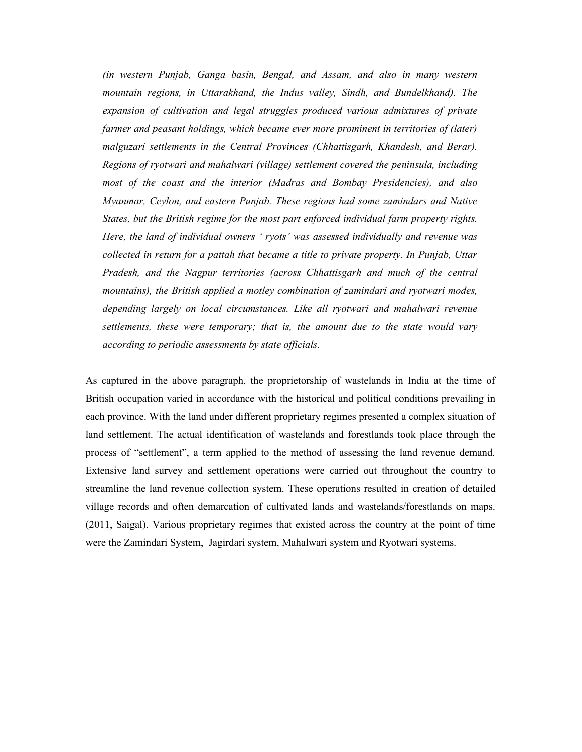*(in western Punjab, Ganga basin, Bengal, and Assam, and also in many western mountain regions, in Uttarakhand, the Indus valley, Sindh, and Bundelkhand). The expansion of cultivation and legal struggles produced various admixtures of private farmer and peasant holdings, which became ever more prominent in territories of (later) malguzari settlements in the Central Provinces (Chhattisgarh, Khandesh, and Berar). Regions of ryotwari and mahalwari (village) settlement covered the peninsula, including most of the coast and the interior (Madras and Bombay Presidencies), and also Myanmar, Ceylon, and eastern Punjab. These regions had some zamindars and Native States, but the British regime for the most part enforced individual farm property rights. Here, the land of individual owners ' ryots' was assessed individually and revenue was collected in return for a pattah that became a title to private property. In Punjab, Uttar Pradesh, and the Nagpur territories (across Chhattisgarh and much of the central mountains), the British applied a motley combination of zamindari and ryotwari modes, depending largely on local circumstances. Like all ryotwari and mahalwari revenue settlements, these were temporary; that is, the amount due to the state would vary according to periodic assessments by state officials.* 

As captured in the above paragraph, the proprietorship of wastelands in India at the time of British occupation varied in accordance with the historical and political conditions prevailing in each province. With the land under different proprietary regimes presented a complex situation of land settlement. The actual identification of wastelands and forestlands took place through the process of "settlement", a term applied to the method of assessing the land revenue demand. Extensive land survey and settlement operations were carried out throughout the country to streamline the land revenue collection system. These operations resulted in creation of detailed village records and often demarcation of cultivated lands and wastelands/forestlands on maps. (2011, Saigal). Various proprietary regimes that existed across the country at the point of time were the Zamindari System, Jagirdari system, Mahalwari system and Ryotwari systems.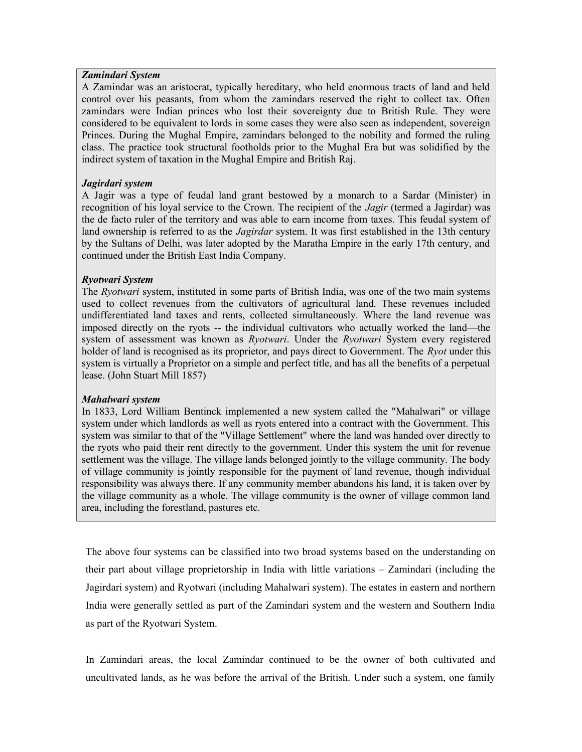## *Zamindari System*

A Zamindar was an aristocrat, typically hereditary, who held enormous tracts of land and held control over his peasants, from whom the zamindars reserved the right to collect tax. Often zamindars were Indian princes who lost their sovereignty due to British Rule. They were considered to be equivalent to lords in some cases they were also seen as independent, sovereign Princes. During the Mughal Empire, zamindars belonged to the nobility and formed the ruling class. The practice took structural footholds prior to the Mughal Era but was solidified by the indirect system of taxation in the Mughal Empire and British Raj.

## *Jagirdari system*

A Jagir was a type of feudal land grant bestowed by a monarch to a Sardar (Minister) in recognition of his loyal service to the Crown. The recipient of the *Jagir* (termed a Jagirdar) was the de facto ruler of the territory and was able to earn income from taxes. This feudal system of land ownership is referred to as the *Jagirdar* system. It was first established in the 13th century by the Sultans of Delhi, was later adopted by the Maratha Empire in the early 17th century, and continued under the British East India Company.

# *Ryotwari System*

The *Ryotwari* system, instituted in some parts of British India, was one of the two main systems used to collect revenues from the cultivators of agricultural land. These revenues included undifferentiated land taxes and rents, collected simultaneously. Where the land revenue was imposed directly on the ryots -- the individual cultivators who actually worked the land—the system of assessment was known as *Ryotwari*. Under the *Ryotwari* System every registered holder of land is recognised as its proprietor, and pays direct to Government. The *Ryot* under this system is virtually a Proprietor on a simple and perfect title, and has all the benefits of a perpetual lease. (John Stuart Mill 1857)

## *Mahalwari system*

In 1833, Lord William Bentinck implemented a new system called the "Mahalwari" or village system under which landlords as well as ryots entered into a contract with the Government. This system was similar to that of the "Village Settlement" where the land was handed over directly to the ryots who paid their rent directly to the government. Under this system the unit for revenue settlement was the village. The village lands belonged jointly to the village community. The body of village community is jointly responsible for the payment of land revenue, though individual responsibility was always there. If any community member abandons his land, it is taken over by the village community as a whole. The village community is the owner of village common land area, including the forestland, pastures etc.

The above four systems can be classified into two broad systems based on the understanding on their part about village proprietorship in India with little variations – Zamindari (including the Jagirdari system) and Ryotwari (including Mahalwari system). The estates in eastern and northern India were generally settled as part of the Zamindari system and the western and Southern India as part of the Ryotwari System.

In Zamindari areas, the local Zamindar continued to be the owner of both cultivated and uncultivated lands, as he was before the arrival of the British. Under such a system, one family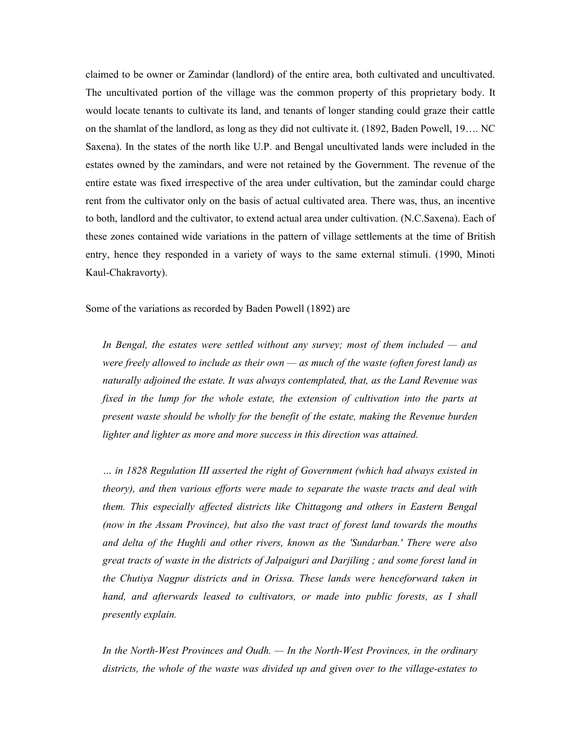claimed to be owner or Zamindar (landlord) of the entire area, both cultivated and uncultivated. The uncultivated portion of the village was the common property of this proprietary body. It would locate tenants to cultivate its land, and tenants of longer standing could graze their cattle on the shamlat of the landlord, as long as they did not cultivate it. (1892, Baden Powell, 19…. NC Saxena). In the states of the north like U.P. and Bengal uncultivated lands were included in the estates owned by the zamindars, and were not retained by the Government. The revenue of the entire estate was fixed irrespective of the area under cultivation, but the zamindar could charge rent from the cultivator only on the basis of actual cultivated area. There was, thus, an incentive to both, landlord and the cultivator, to extend actual area under cultivation. (N.C.Saxena). Each of these zones contained wide variations in the pattern of village settlements at the time of British entry, hence they responded in a variety of ways to the same external stimuli. (1990, Minoti Kaul-Chakravorty).

Some of the variations as recorded by Baden Powell (1892) are

*In Bengal, the estates were settled without any survey; most of them included — and were freely allowed to include as their own — as much of the waste (often forest land) as naturally adjoined the estate. It was always contemplated, that, as the Land Revenue was fixed in the lump for the whole estate, the extension of cultivation into the parts at present waste should be wholly for the benefit of the estate, making the Revenue burden lighter and lighter as more and more success in this direction was attained.* 

*… in 1828 Regulation III asserted the right of Government (which had always existed in theory), and then various efforts were made to separate the waste tracts and deal with them. This especially affected districts like Chittagong and others in Eastern Bengal (now in the Assam Province), but also the vast tract of forest land towards the mouths and delta of the Hughli and other rivers, known as the 'Sundarban.' There were also great tracts of waste in the districts of Jalpaiguri and Darjiling ; and some forest land in the Chutiya Nagpur districts and in Orissa. These lands were henceforward taken in hand, and afterwards leased to cultivators, or made into public forests, as I shall presently explain.* 

*In the North-West Provinces and Oudh. — In the North-West Provinces, in the ordinary districts, the whole of the waste was divided up and given over to the village-estates to*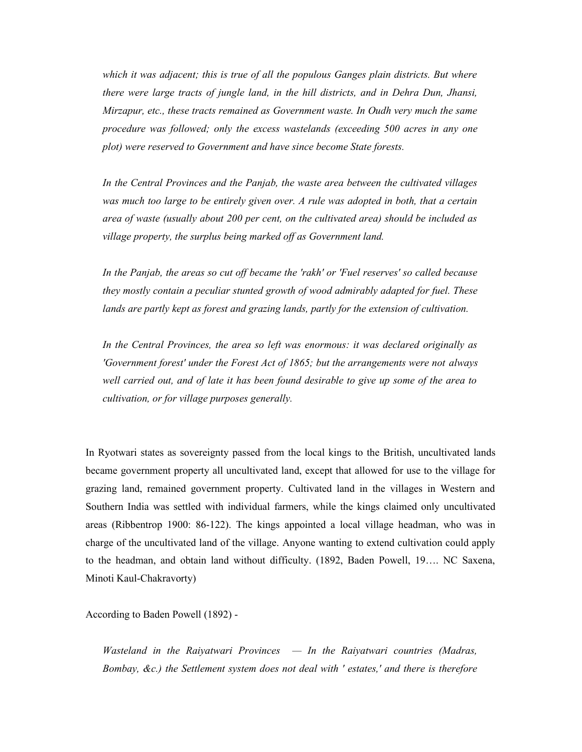*which it was adjacent; this is true of all the populous Ganges plain districts. But where there were large tracts of jungle land, in the hill districts, and in Dehra Dun, Jhansi, Mirzapur, etc., these tracts remained as Government waste. In Oudh very much the same procedure was followed; only the excess wastelands (exceeding 500 acres in any one plot) were reserved to Government and have since become State forests.*

*In the Central Provinces and the Panjab, the waste area between the cultivated villages was much too large to be entirely given over. A rule was adopted in both, that a certain area of waste (usually about 200 per cent, on the cultivated area) should be included as village property, the surplus being marked off as Government land.* 

*In the Panjab, the areas so cut off became the 'rakh' or 'Fuel reserves' so called because they mostly contain a peculiar stunted growth of wood admirably adapted for fuel. These lands are partly kept as forest and grazing lands, partly for the extension of cultivation.* 

*In the Central Provinces, the area so left was enormous: it was declared originally as 'Government forest' under the Forest Act of 1865; but the arrangements were not always well carried out, and of late it has been found desirable to give up some of the area to cultivation, or for village purposes generally.*

In Ryotwari states as sovereignty passed from the local kings to the British, uncultivated lands became government property all uncultivated land, except that allowed for use to the village for grazing land, remained government property. Cultivated land in the villages in Western and Southern India was settled with individual farmers, while the kings claimed only uncultivated areas (Ribbentrop 1900: 86-122). The kings appointed a local village headman, who was in charge of the uncultivated land of the village. Anyone wanting to extend cultivation could apply to the headman, and obtain land without difficulty. (1892, Baden Powell, 19…. NC Saxena, Minoti Kaul-Chakravorty)

According to Baden Powell (1892) -

*Wasteland in the Raiyatwari Provinces — In the Raiyatwari countries (Madras, Bombay, &c.) the Settlement system does not deal with ' estates,' and there is therefore*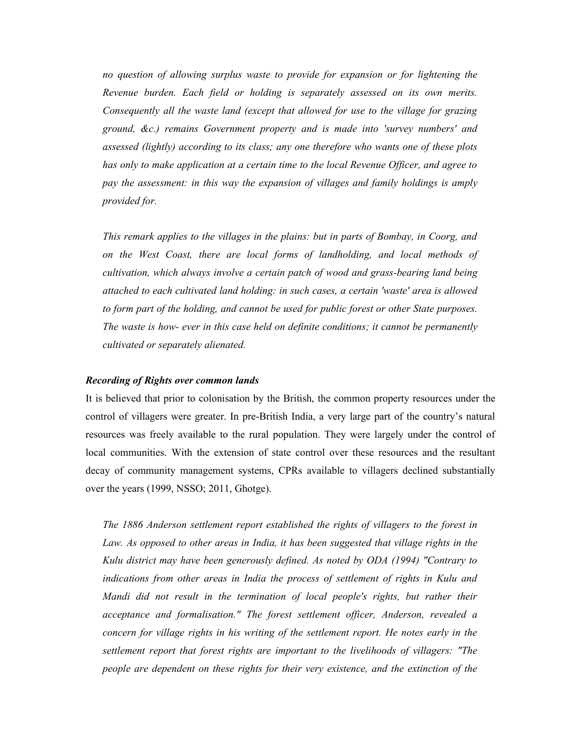*no question of allowing surplus waste to provide for expansion or for lightening the Revenue burden. Each field or holding is separately assessed on its own merits. Consequently all the waste land (except that allowed for use to the village for grazing ground, &c.) remains Government property and is made into 'survey numbers' and assessed (lightly) according to its class; any one therefore who wants one of these plots has only to make application at a certain time to the local Revenue Officer, and agree to pay the assessment: in this way the expansion of villages and family holdings is amply provided for.* 

*This remark applies to the villages in the plains: but in parts of Bombay, in Coorg, and on the West Coast, there are local forms of landholding, and local methods of cultivation, which always involve a certain patch of wood and grass-bearing land being attached to each cultivated land holding: in such cases, a certain 'waste' area is allowed to form part of the holding, and cannot be used for public forest or other State purposes. The waste is how- ever in this case held on definite conditions; it cannot be permanently cultivated or separately alienated.*

#### *Recording of Rights over common lands*

It is believed that prior to colonisation by the British, the common property resources under the control of villagers were greater. In pre-British India, a very large part of the country's natural resources was freely available to the rural population. They were largely under the control of local communities. With the extension of state control over these resources and the resultant decay of community management systems, CPRs available to villagers declined substantially over the years (1999, NSSO; 2011, Ghotge).

*The 1886 Anderson settlement report established the rights of villagers to the forest in Law. As opposed to other areas in India, it has been suggested that village rights in the Kulu district may have been generously defined. As noted by ODA (1994) "Contrary to indications from other areas in India the process of settlement of rights in Kulu and Mandi did not result in the termination of local people's rights, but rather their acceptance and formalisation." The forest settlement officer, Anderson, revealed a concern for village rights in his writing of the settlement report. He notes early in the settlement report that forest rights are important to the livelihoods of villagers: "The people are dependent on these rights for their very existence, and the extinction of the*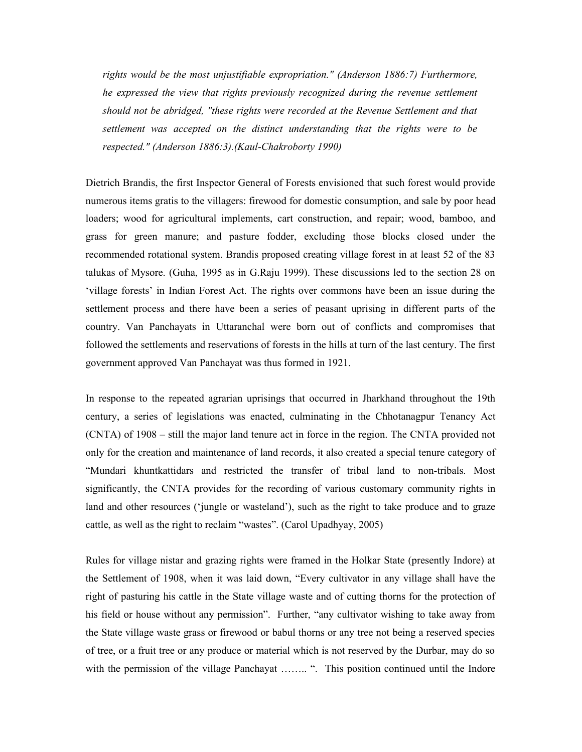*rights would be the most unjustifiable expropriation." (Anderson 1886:7) Furthermore, he expressed the view that rights previously recognized during the revenue settlement should not be abridged, "these rights were recorded at the Revenue Settlement and that settlement was accepted on the distinct understanding that the rights were to be respected." (Anderson 1886:3).(Kaul-Chakroborty 1990)*

Dietrich Brandis, the first Inspector General of Forests envisioned that such forest would provide numerous items gratis to the villagers: firewood for domestic consumption, and sale by poor head loaders; wood for agricultural implements, cart construction, and repair; wood, bamboo, and grass for green manure; and pasture fodder, excluding those blocks closed under the recommended rotational system. Brandis proposed creating village forest in at least 52 of the 83 talukas of Mysore. (Guha, 1995 as in G.Raju 1999). These discussions led to the section 28 on 'village forests' in Indian Forest Act. The rights over commons have been an issue during the settlement process and there have been a series of peasant uprising in different parts of the country. Van Panchayats in Uttaranchal were born out of conflicts and compromises that followed the settlements and reservations of forests in the hills at turn of the last century. The first government approved Van Panchayat was thus formed in 1921.

In response to the repeated agrarian uprisings that occurred in Jharkhand throughout the 19th century, a series of legislations was enacted, culminating in the Chhotanagpur Tenancy Act (CNTA) of 1908 – still the major land tenure act in force in the region. The CNTA provided not only for the creation and maintenance of land records, it also created a special tenure category of "Mundari khuntkattidars and restricted the transfer of tribal land to non-tribals. Most significantly, the CNTA provides for the recording of various customary community rights in land and other resources ('jungle or wasteland'), such as the right to take produce and to graze cattle, as well as the right to reclaim "wastes". (Carol Upadhyay, 2005)

Rules for village nistar and grazing rights were framed in the Holkar State (presently Indore) at the Settlement of 1908, when it was laid down, "Every cultivator in any village shall have the right of pasturing his cattle in the State village waste and of cutting thorns for the protection of his field or house without any permission". Further, "any cultivator wishing to take away from the State village waste grass or firewood or babul thorns or any tree not being a reserved species of tree, or a fruit tree or any produce or material which is not reserved by the Durbar, may do so with the permission of the village Panchayat ……... ". This position continued until the Indore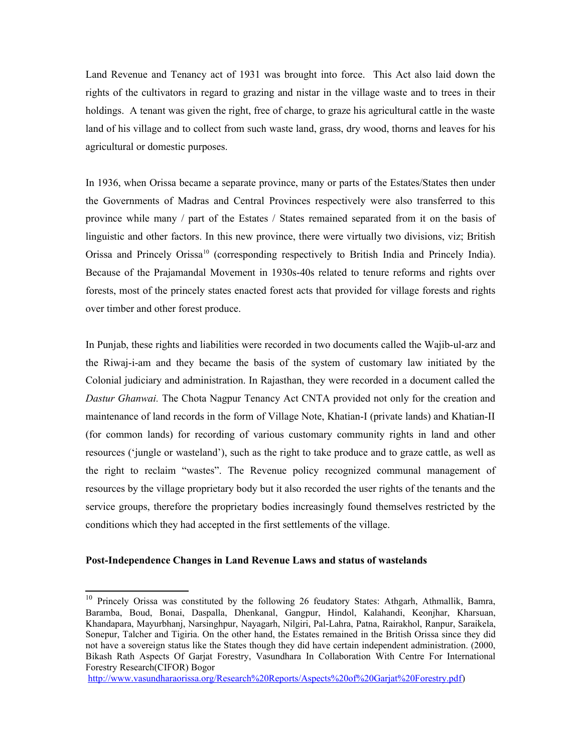Land Revenue and Tenancy act of 1931 was brought into force. This Act also laid down the rights of the cultivators in regard to grazing and nistar in the village waste and to trees in their holdings. A tenant was given the right, free of charge, to graze his agricultural cattle in the waste land of his village and to collect from such waste land, grass, dry wood, thorns and leaves for his agricultural or domestic purposes.

In 1936, when Orissa became a separate province, many or parts of the Estates/States then under the Governments of Madras and Central Provinces respectively were also transferred to this province while many / part of the Estates / States remained separated from it on the basis of linguistic and other factors. In this new province, there were virtually two divisions, viz; British Orissa and Princely Orissa<sup>[10](#page-12-0)</sup> (corresponding respectively to British India and Princely India). Because of the Prajamandal Movement in 1930s-40s related to tenure reforms and rights over forests, most of the princely states enacted forest acts that provided for village forests and rights over timber and other forest produce.

In Punjab, these rights and liabilities were recorded in two documents called the Wajib-ul-arz and the Riwaj-i-am and they became the basis of the system of customary law initiated by the Colonial judiciary and administration. In Rajasthan, they were recorded in a document called the *Dastur Ghanwai.* The Chota Nagpur Tenancy Act CNTA provided not only for the creation and maintenance of land records in the form of Village Note, Khatian-I (private lands) and Khatian-II (for common lands) for recording of various customary community rights in land and other resources ('jungle or wasteland'), such as the right to take produce and to graze cattle, as well as the right to reclaim "wastes". The Revenue policy recognized communal management of resources by the village proprietary body but it also recorded the user rights of the tenants and the service groups, therefore the proprietary bodies increasingly found themselves restricted by the conditions which they had accepted in the first settlements of the village.

## **Post-Independence Changes in Land Revenue Laws and status of wastelands**

<span id="page-12-0"></span><sup>&</sup>lt;sup>10</sup> Princely Orissa was constituted by the following 26 feudatory States: Athgarh, Athmallik, Bamra, Baramba, Boud, Bonai, Daspalla, Dhenkanal, Gangpur, Hindol, Kalahandi, Keonjhar, Kharsuan, Khandapara, Mayurbhanj, Narsinghpur, Nayagarh, Nilgiri, Pal-Lahra, Patna, Rairakhol, Ranpur, Saraikela, Sonepur, Talcher and Tigiria. On the other hand, the Estates remained in the British Orissa since they did not have a sovereign status like the States though they did have certain independent administration. (2000, Bikash Rath Aspects Of Garjat Forestry, Vasundhara In Collaboration With Centre For International Forestry Research(CIFOR) Bogor

[http://www.vasundharaorissa.org/Research%20Reports/Aspects%20of%20Garjat%20Forestry.pdf\)](http://www.vasundharaorissa.org/Research%20Reports/Aspects%20of%20Garjat%20Forestry.pdf)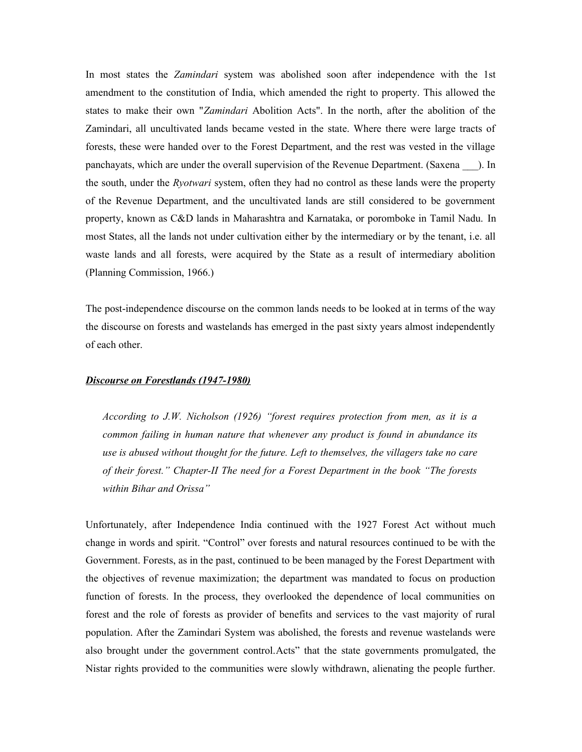In most states the *Zamindari* system was abolished soon after independence with the 1st amendment to the constitution of India, which amended the right to property. This allowed the states to make their own "*Zamindari* Abolition Acts". In the north, after the abolition of the Zamindari, all uncultivated lands became vested in the state. Where there were large tracts of forests, these were handed over to the Forest Department, and the rest was vested in the village panchayats, which are under the overall supervision of the Revenue Department. (Saxena \_\_\_). In the south, under the *Ryotwari* system, often they had no control as these lands were the property of the Revenue Department, and the uncultivated lands are still considered to be government property, known as C&D lands in Maharashtra and Karnataka, or poromboke in Tamil Nadu. In most States, all the lands not under cultivation either by the intermediary or by the tenant, i.e. all waste lands and all forests, were acquired by the State as a result of intermediary abolition (Planning Commission, 1966.)

The post-independence discourse on the common lands needs to be looked at in terms of the way the discourse on forests and wastelands has emerged in the past sixty years almost independently of each other.

## *Discourse on Forestlands (1947-1980)*

*According to J.W. Nicholson (1926) "forest requires protection from men, as it is a common failing in human nature that whenever any product is found in abundance its use is abused without thought for the future. Left to themselves, the villagers take no care of their forest." Chapter-II The need for a Forest Department in the book "The forests within Bihar and Orissa"* 

Unfortunately, after Independence India continued with the 1927 Forest Act without much change in words and spirit. "Control" over forests and natural resources continued to be with the Government. Forests, as in the past, continued to be been managed by the Forest Department with the objectives of revenue maximization; the department was mandated to focus on production function of forests. In the process, they overlooked the dependence of local communities on forest and the role of forests as provider of benefits and services to the vast majority of rural population. After the Zamindari System was abolished, the forests and revenue wastelands were also brought under the government control.Acts" that the state governments promulgated, the Nistar rights provided to the communities were slowly withdrawn, alienating the people further.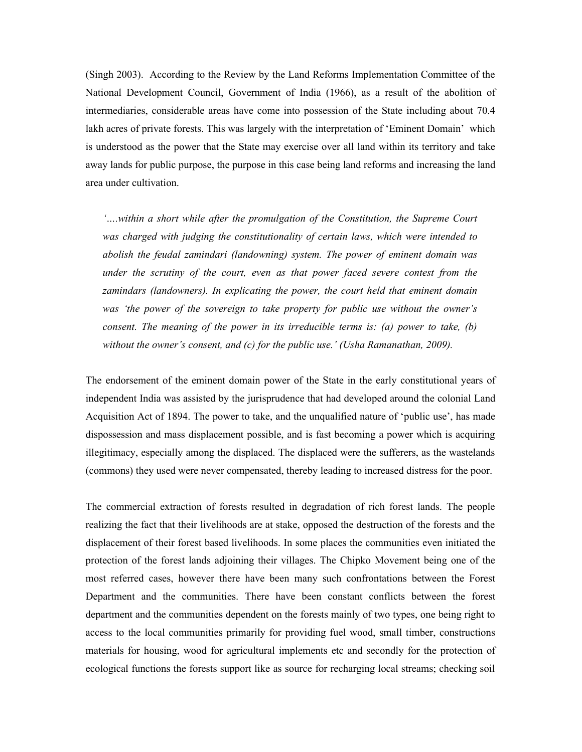(Singh 2003). According to the Review by the Land Reforms Implementation Committee of the National Development Council, Government of India (1966), as a result of the abolition of intermediaries, considerable areas have come into possession of the State including about 70.4 lakh acres of private forests. This was largely with the interpretation of 'Eminent Domain' which is understood as the power that the State may exercise over all land within its territory and take away lands for public purpose, the purpose in this case being land reforms and increasing the land area under cultivation.

*'….within a short while after the promulgation of the Constitution, the Supreme Court was charged with judging the constitutionality of certain laws, which were intended to abolish the feudal zamindari (landowning) system. The power of eminent domain was under the scrutiny of the court, even as that power faced severe contest from the zamindars (landowners). In explicating the power, the court held that eminent domain was 'the power of the sovereign to take property for public use without the owner's consent. The meaning of the power in its irreducible terms is: (a) power to take, (b) without the owner's consent, and (c) for the public use.' (Usha Ramanathan, 2009).*

The endorsement of the eminent domain power of the State in the early constitutional years of independent India was assisted by the jurisprudence that had developed around the colonial Land Acquisition Act of 1894. The power to take, and the unqualified nature of 'public use', has made dispossession and mass displacement possible, and is fast becoming a power which is acquiring illegitimacy, especially among the displaced. The displaced were the sufferers, as the wastelands (commons) they used were never compensated, thereby leading to increased distress for the poor.

The commercial extraction of forests resulted in degradation of rich forest lands. The people realizing the fact that their livelihoods are at stake, opposed the destruction of the forests and the displacement of their forest based livelihoods. In some places the communities even initiated the protection of the forest lands adjoining their villages. The Chipko Movement being one of the most referred cases, however there have been many such confrontations between the Forest Department and the communities. There have been constant conflicts between the forest department and the communities dependent on the forests mainly of two types, one being right to access to the local communities primarily for providing fuel wood, small timber, constructions materials for housing, wood for agricultural implements etc and secondly for the protection of ecological functions the forests support like as source for recharging local streams; checking soil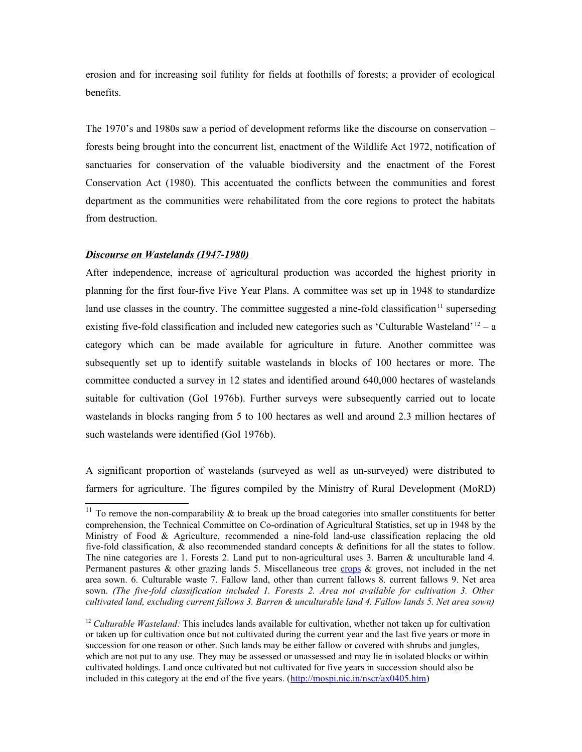erosion and for increasing soil futility for fields at foothills of forests; a provider of ecological benefits.

The 1970's and 1980s saw a period of development reforms like the discourse on conservation – forests being brought into the concurrent list, enactment of the Wildlife Act 1972, notification of sanctuaries for conservation of the valuable biodiversity and the enactment of the Forest Conservation Act (1980). This accentuated the conflicts between the communities and forest department as the communities were rehabilitated from the core regions to protect the habitats from destruction.

## *Discourse on Wastelands (1947-1980)*

After independence, increase of agricultural production was accorded the highest priority in planning for the first four-five Five Year Plans. A committee was set up in 1948 to standardize land use classes in the country. The committee suggested a nine-fold classification<sup>[11](#page-15-0)</sup> superseding existing five-fold classification and included new categories such as 'Culturable Wasteland'  $^{12}$  $^{12}$  $^{12}$  – a category which can be made available for agriculture in future. Another committee was subsequently set up to identify suitable wastelands in blocks of 100 hectares or more. The committee conducted a survey in 12 states and identified around 640,000 hectares of wastelands suitable for cultivation (GoI 1976b). Further surveys were subsequently carried out to locate wastelands in blocks ranging from 5 to 100 hectares as well and around 2.3 million hectares of such wastelands were identified (GoI 1976b).

A significant proportion of wastelands (surveyed as well as un-surveyed) were distributed to farmers for agriculture. The figures compiled by the Ministry of Rural Development (MoRD)

<span id="page-15-0"></span><sup>&</sup>lt;sup>11</sup> To remove the non-comparability  $\&$  to break up the broad categories into smaller constituents for better comprehension, the Technical Committee on Co-ordination of Agricultural Statistics, set up in 1948 by the Ministry of Food & Agriculture, recommended a nine-fold land-use classification replacing the old five-fold classification, & also recommended standard concepts & definitions for all the states to follow. The nine categories are 1. Forests 2. Land put to non-agricultural uses 3. Barren & unculturable land 4. Permanent pastures  $\&$  other grazing lands 5. Miscellaneous tree [crops](http://www.krishiworld.com/html/comm_crops1.html)  $\&$  groves, not included in the net area sown. 6. Culturable waste 7. Fallow land, other than current fallows 8. current fallows 9. Net area sown. *(The five-fold classification included 1. Forests 2. Area not available for cultivation 3. Other cultivated land, excluding current fallows 3. Barren & unculturable land 4. Fallow lands 5. Net area sown)*

<span id="page-15-1"></span><sup>&</sup>lt;sup>12</sup> Culturable Wasteland: This includes lands available for cultivation, whether not taken up for cultivation or taken up for cultivation once but not cultivated during the current year and the last five years or more in succession for one reason or other. Such lands may be either fallow or covered with shrubs and jungles, which are not put to any use. They may be assessed or unassessed and may lie in isolated blocks or within cultivated holdings. Land once cultivated but not cultivated for five years in succession should also be included in this category at the end of the five years. [\(http://mospi.nic.in/nscr/ax0405.htm\)](http://mospi.nic.in/nscr/ax0405.htm)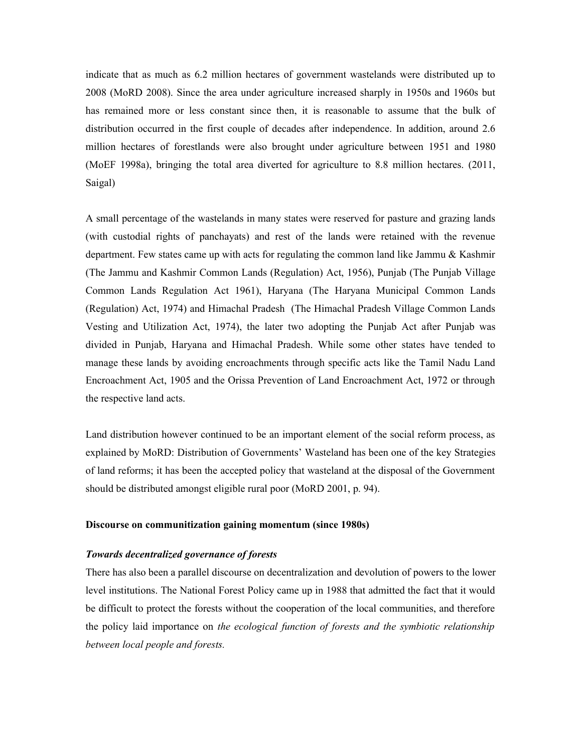indicate that as much as 6.2 million hectares of government wastelands were distributed up to 2008 (MoRD 2008). Since the area under agriculture increased sharply in 1950s and 1960s but has remained more or less constant since then, it is reasonable to assume that the bulk of distribution occurred in the first couple of decades after independence. In addition, around 2.6 million hectares of forestlands were also brought under agriculture between 1951 and 1980 (MoEF 1998a), bringing the total area diverted for agriculture to 8.8 million hectares. (2011, Saigal)

A small percentage of the wastelands in many states were reserved for pasture and grazing lands (with custodial rights of panchayats) and rest of the lands were retained with the revenue department. Few states came up with acts for regulating the common land like Jammu & Kashmir (The Jammu and Kashmir Common Lands (Regulation) Act, 1956), Punjab (The Punjab Village Common Lands Regulation Act 1961), Haryana (The Haryana Municipal Common Lands (Regulation) Act, 1974) and Himachal Pradesh (The Himachal Pradesh Village Common Lands Vesting and Utilization Act, 1974), the later two adopting the Punjab Act after Punjab was divided in Punjab, Haryana and Himachal Pradesh. While some other states have tended to manage these lands by avoiding encroachments through specific acts like the Tamil Nadu Land Encroachment Act, 1905 and the Orissa Prevention of Land Encroachment Act, 1972 or through the respective land acts.

Land distribution however continued to be an important element of the social reform process, as explained by MoRD: Distribution of Governments' Wasteland has been one of the key Strategies of land reforms; it has been the accepted policy that wasteland at the disposal of the Government should be distributed amongst eligible rural poor (MoRD 2001, p. 94).

#### **Discourse on communitization gaining momentum (since 1980s)**

## *Towards decentralized governance of forests*

There has also been a parallel discourse on decentralization and devolution of powers to the lower level institutions. The National Forest Policy came up in 1988 that admitted the fact that it would be difficult to protect the forests without the cooperation of the local communities, and therefore the policy laid importance on *the ecological function of forests and the symbiotic relationship between local people and forests.*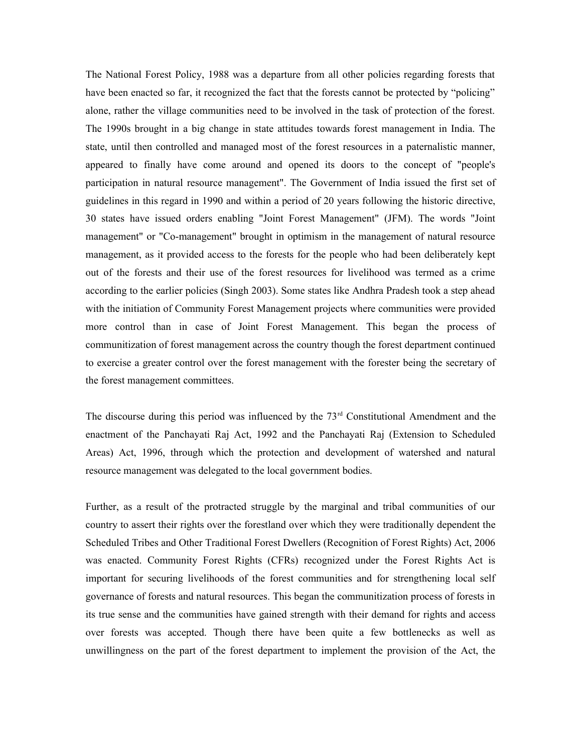The National Forest Policy, 1988 was a departure from all other policies regarding forests that have been enacted so far, it recognized the fact that the forests cannot be protected by "policing" alone, rather the village communities need to be involved in the task of protection of the forest. The 1990s brought in a big change in state attitudes towards forest management in India. The state, until then controlled and managed most of the forest resources in a paternalistic manner, appeared to finally have come around and opened its doors to the concept of "people's participation in natural resource management". The Government of India issued the first set of guidelines in this regard in 1990 and within a period of 20 years following the historic directive, 30 states have issued orders enabling "Joint Forest Management" (JFM). The words "Joint management" or "Co-management" brought in optimism in the management of natural resource management, as it provided access to the forests for the people who had been deliberately kept out of the forests and their use of the forest resources for livelihood was termed as a crime according to the earlier policies (Singh 2003). Some states like Andhra Pradesh took a step ahead with the initiation of Community Forest Management projects where communities were provided more control than in case of Joint Forest Management. This began the process of communitization of forest management across the country though the forest department continued to exercise a greater control over the forest management with the forester being the secretary of the forest management committees.

The discourse during this period was influenced by the  $73<sup>rd</sup>$  Constitutional Amendment and the enactment of the Panchayati Raj Act, 1992 and the Panchayati Raj (Extension to Scheduled Areas) Act, 1996, through which the protection and development of watershed and natural resource management was delegated to the local government bodies.

Further, as a result of the protracted struggle by the marginal and tribal communities of our country to assert their rights over the forestland over which they were traditionally dependent the Scheduled Tribes and Other Traditional Forest Dwellers (Recognition of Forest Rights) Act, 2006 was enacted. Community Forest Rights (CFRs) recognized under the Forest Rights Act is important for securing livelihoods of the forest communities and for strengthening local self governance of forests and natural resources. This began the communitization process of forests in its true sense and the communities have gained strength with their demand for rights and access over forests was accepted. Though there have been quite a few bottlenecks as well as unwillingness on the part of the forest department to implement the provision of the Act, the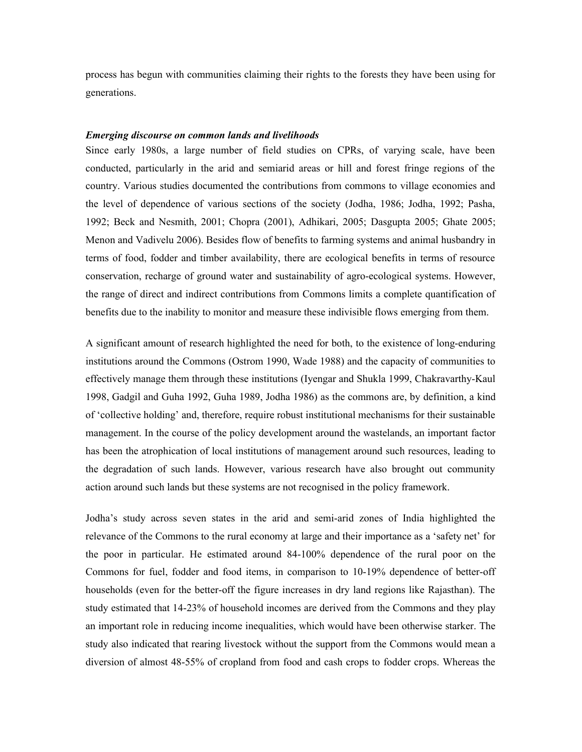process has begun with communities claiming their rights to the forests they have been using for generations.

## *Emerging discourse on common lands and livelihoods*

Since early 1980s, a large number of field studies on CPRs, of varying scale, have been conducted, particularly in the arid and semiarid areas or hill and forest fringe regions of the country. Various studies documented the contributions from commons to village economies and the level of dependence of various sections of the society (Jodha, 1986; Jodha, 1992; Pasha, 1992; Beck and Nesmith, 2001; Chopra (2001), Adhikari, 2005; Dasgupta 2005; Ghate 2005; Menon and Vadivelu 2006). Besides flow of benefits to farming systems and animal husbandry in terms of food, fodder and timber availability, there are ecological benefits in terms of resource conservation, recharge of ground water and sustainability of agro-ecological systems. However, the range of direct and indirect contributions from Commons limits a complete quantification of benefits due to the inability to monitor and measure these indivisible flows emerging from them.

A significant amount of research highlighted the need for both, to the existence of long-enduring institutions around the Commons (Ostrom 1990, Wade 1988) and the capacity of communities to effectively manage them through these institutions (Iyengar and Shukla 1999, Chakravarthy-Kaul 1998, Gadgil and Guha 1992, Guha 1989, Jodha 1986) as the commons are, by definition, a kind of 'collective holding' and, therefore, require robust institutional mechanisms for their sustainable management. In the course of the policy development around the wastelands, an important factor has been the atrophication of local institutions of management around such resources, leading to the degradation of such lands. However, various research have also brought out community action around such lands but these systems are not recognised in the policy framework.

Jodha's study across seven states in the arid and semi-arid zones of India highlighted the relevance of the Commons to the rural economy at large and their importance as a 'safety net' for the poor in particular. He estimated around 84-100% dependence of the rural poor on the Commons for fuel, fodder and food items, in comparison to 10-19% dependence of better-off households (even for the better-off the figure increases in dry land regions like Rajasthan). The study estimated that 14-23% of household incomes are derived from the Commons and they play an important role in reducing income inequalities, which would have been otherwise starker. The study also indicated that rearing livestock without the support from the Commons would mean a diversion of almost 48-55% of cropland from food and cash crops to fodder crops. Whereas the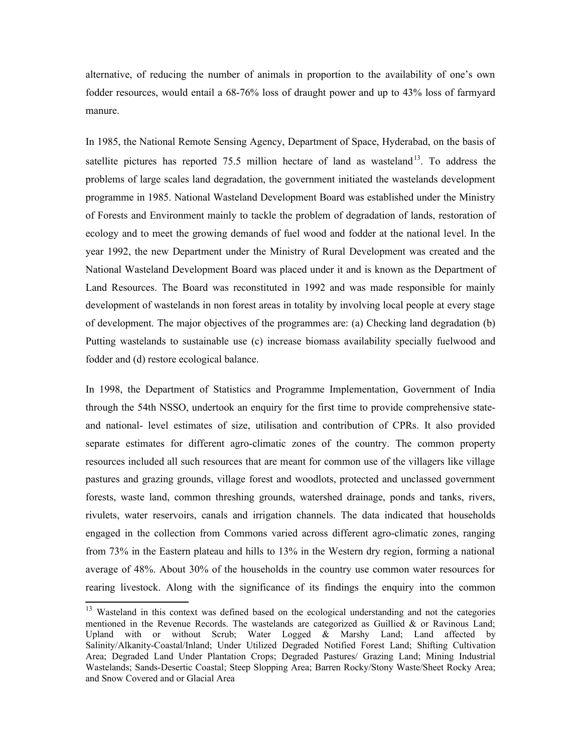alternative, of reducing the number of animals in proportion to the availability of one's own fodder resources, would entail a 68-76% loss of draught power and up to 43% loss of farmyard manure.

In 1985, the National Remote Sensing Agency, Department of Space, Hyderabad, on the basis of satellite pictures has reported  $75.5$  million hectare of land as wasteland<sup>[13](#page-19-0)</sup>. To address the problems of large scales land degradation, the government initiated the wastelands development programme in 1985. National Wasteland Development Board was established under the Ministry of Forests and Environment mainly to tackle the problem of degradation of lands, restoration of ecology and to meet the growing demands of fuel wood and fodder at the national level. In the year 1992, the new Department under the Ministry of Rural Development was created and the National Wasteland Development Board was placed under it and is known as the Department of Land Resources. The Board was reconstituted in 1992 and was made responsible for mainly development of wastelands in non forest areas in totality by involving local people at every stage of development. The major objectives of the programmes are: (a) Checking land degradation (b) Putting wastelands to sustainable use (c) increase biomass availability specially fuelwood and fodder and (d) restore ecological balance.

In 1998, the Department of Statistics and Programme Implementation, Government of India through the 54th NSSO, undertook an enquiry for the first time to provide comprehensive stateand national- level estimates of size, utilisation and contribution of CPRs. It also provided separate estimates for different agro-climatic zones of the country. The common property resources included all such resources that are meant for common use of the villagers like village pastures and grazing grounds, village forest and woodlots, protected and unclassed government forests, waste land, common threshing grounds, watershed drainage, ponds and tanks, rivers, rivulets, water reservoirs, canals and irrigation channels. The data indicated that households engaged in the collection from Commons varied across different agro-climatic zones, ranging from 73% in the Eastern plateau and hills to 13% in the Western dry region, forming a national average of 48%. About 30% of the households in the country use common water resources for rearing livestock. Along with the significance of its findings the enquiry into the common

<span id="page-19-0"></span><sup>&</sup>lt;sup>13</sup> Wasteland in this context was defined based on the ecological understanding and not the categories mentioned in the Revenue Records. The wastelands are categorized as Guillied  $\&$  or Ravinous Land; Upland with or without Scrub; Water Logged & Marshy Land; Land affected by Salinity/Alkanity-Coastal/Inland; Under Utilized Degraded Notified Forest Land; Shifting Cultivation Area; Degraded Land Under Plantation Crops; Degraded Pastures/ Grazing Land; Mining Industrial Wastelands; Sands-Desertic Coastal; Steep Slopping Area; Barren Rocky/Stony Waste/Sheet Rocky Area; and Snow Covered and or Glacial Area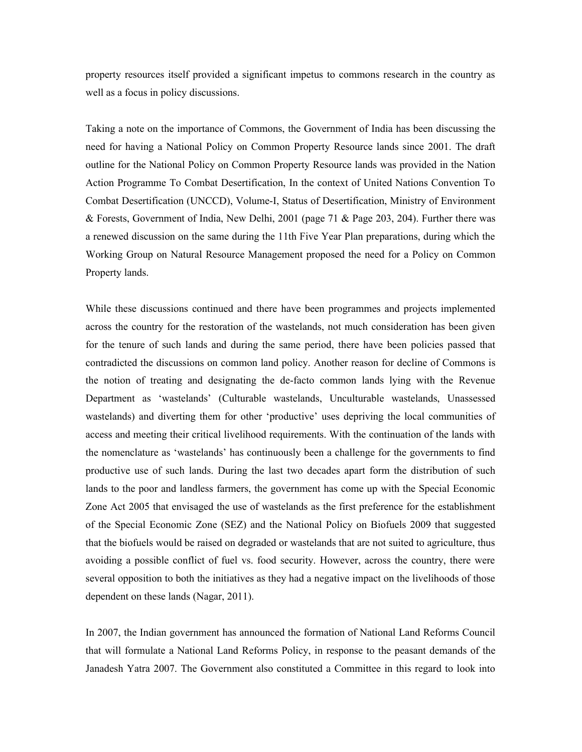property resources itself provided a significant impetus to commons research in the country as well as a focus in policy discussions.

Taking a note on the importance of Commons, the Government of India has been discussing the need for having a National Policy on Common Property Resource lands since 2001. The draft outline for the National Policy on Common Property Resource lands was provided in the Nation Action Programme To Combat Desertification, In the context of United Nations Convention To Combat Desertification (UNCCD), Volume-I, Status of Desertification, Ministry of Environment & Forests, Government of India, New Delhi, 2001 (page 71 & Page 203, 204). Further there was a renewed discussion on the same during the 11th Five Year Plan preparations, during which the Working Group on Natural Resource Management proposed the need for a Policy on Common Property lands.

While these discussions continued and there have been programmes and projects implemented across the country for the restoration of the wastelands, not much consideration has been given for the tenure of such lands and during the same period, there have been policies passed that contradicted the discussions on common land policy. Another reason for decline of Commons is the notion of treating and designating the de-facto common lands lying with the Revenue Department as 'wastelands' (Culturable wastelands, Unculturable wastelands, Unassessed wastelands) and diverting them for other 'productive' uses depriving the local communities of access and meeting their critical livelihood requirements. With the continuation of the lands with the nomenclature as 'wastelands' has continuously been a challenge for the governments to find productive use of such lands. During the last two decades apart form the distribution of such lands to the poor and landless farmers, the government has come up with the Special Economic Zone Act 2005 that envisaged the use of wastelands as the first preference for the establishment of the Special Economic Zone (SEZ) and the National Policy on Biofuels 2009 that suggested that the biofuels would be raised on degraded or wastelands that are not suited to agriculture, thus avoiding a possible conflict of fuel vs. food security. However, across the country, there were several opposition to both the initiatives as they had a negative impact on the livelihoods of those dependent on these lands (Nagar, 2011).

In 2007, the Indian government has announced the formation of National Land Reforms Council that will formulate a National Land Reforms Policy, in response to the peasant demands of the Janadesh Yatra 2007. The Government also constituted a Committee in this regard to look into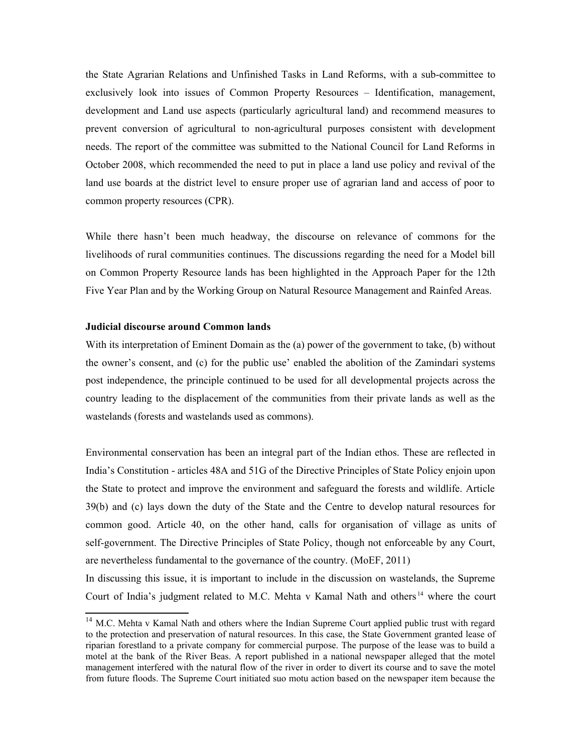the State Agrarian Relations and Unfinished Tasks in Land Reforms, with a sub-committee to exclusively look into issues of Common Property Resources – Identification, management, development and Land use aspects (particularly agricultural land) and recommend measures to prevent conversion of agricultural to non-agricultural purposes consistent with development needs. The report of the committee was submitted to the National Council for Land Reforms in October 2008, which recommended the need to put in place a land use policy and revival of the land use boards at the district level to ensure proper use of agrarian land and access of poor to common property resources (CPR).

While there hasn't been much headway, the discourse on relevance of commons for the livelihoods of rural communities continues. The discussions regarding the need for a Model bill on Common Property Resource lands has been highlighted in the Approach Paper for the 12th Five Year Plan and by the Working Group on Natural Resource Management and Rainfed Areas.

## **Judicial discourse around Common lands**

With its interpretation of Eminent Domain as the (a) power of the government to take, (b) without the owner's consent, and (c) for the public use' enabled the abolition of the Zamindari systems post independence, the principle continued to be used for all developmental projects across the country leading to the displacement of the communities from their private lands as well as the wastelands (forests and wastelands used as commons).

Environmental conservation has been an integral part of the Indian ethos. These are reflected in India's Constitution - articles 48A and 51G of the Directive Principles of State Policy enjoin upon the State to protect and improve the environment and safeguard the forests and wildlife. Article 39(b) and (c) lays down the duty of the State and the Centre to develop natural resources for common good. Article 40, on the other hand, calls for organisation of village as units of self-government. The Directive Principles of State Policy, though not enforceable by any Court, are nevertheless fundamental to the governance of the country. (MoEF, 2011)

In discussing this issue, it is important to include in the discussion on wastelands, the Supreme Court of India's judgment related to M.C. Mehta v Kamal Nath and others [14](#page-21-0) where the court

<span id="page-21-0"></span><sup>&</sup>lt;sup>14</sup> M.C. Mehta v Kamal Nath and others where the Indian Supreme Court applied public trust with regard to the protection and preservation of natural resources. In this case, the State Government granted lease of riparian forestland to a private company for commercial purpose. The purpose of the lease was to build a motel at the bank of the River Beas. A report published in a national newspaper alleged that the motel management interfered with the natural flow of the river in order to divert its course and to save the motel from future floods. The Supreme Court initiated suo motu action based on the newspaper item because the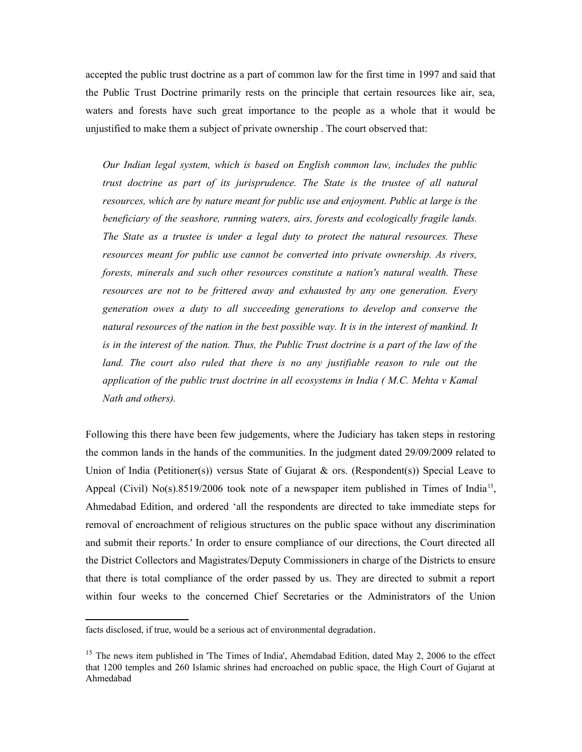accepted the public trust doctrine as a part of common law for the first time in 1997 and said that the Public Trust Doctrine primarily rests on the principle that certain resources like air, sea, waters and forests have such great importance to the people as a whole that it would be unjustified to make them a subject of private ownership . The court observed that:

*Our Indian legal system, which is based on English common law, includes the public trust doctrine as part of its jurisprudence. The State is the trustee of all natural resources, which are by nature meant for public use and enjoyment. Public at large is the beneficiary of the seashore, running waters, airs, forests and ecologically fragile lands. The State as a trustee is under a legal duty to protect the natural resources. These resources meant for public use cannot be converted into private ownership. As rivers, forests, minerals and such other resources constitute a nation's natural wealth. These resources are not to be frittered away and exhausted by any one generation. Every generation owes a duty to all succeeding generations to develop and conserve the natural resources of the nation in the best possible way. It is in the interest of mankind. It is in the interest of the nation. Thus, the Public Trust doctrine is a part of the law of the land. The court also ruled that there is no any justifiable reason to rule out the application of the public trust doctrine in all ecosystems in India ( M.C. Mehta v Kamal Nath and others).*

Following this there have been few judgements, where the Judiciary has taken steps in restoring the common lands in the hands of the communities. In the judgment dated 29/09/2009 related to Union of India (Petitioner(s)) versus State of Gujarat  $\&$  ors. (Respondent(s)) Special Leave to Appeal (Civil)  $No(s)$ .8519/2006 took note of a newspaper item published in Times of India<sup>[15](#page-22-0)</sup>, Ahmedabad Edition, and ordered 'all the respondents are directed to take immediate steps for removal of encroachment of religious structures on the public space without any discrimination and submit their reports.' In order to ensure compliance of our directions, the Court directed all the District Collectors and Magistrates/Deputy Commissioners in charge of the Districts to ensure that there is total compliance of the order passed by us. They are directed to submit a report within four weeks to the concerned Chief Secretaries or the Administrators of the Union

facts disclosed, if true, would be a serious act of environmental degradation.

<span id="page-22-0"></span><sup>&</sup>lt;sup>15</sup> The news item published in 'The Times of India', Ahemdabad Edition, dated May 2, 2006 to the effect that 1200 temples and 260 Islamic shrines had encroached on public space, the High Court of Gujarat at Ahmedabad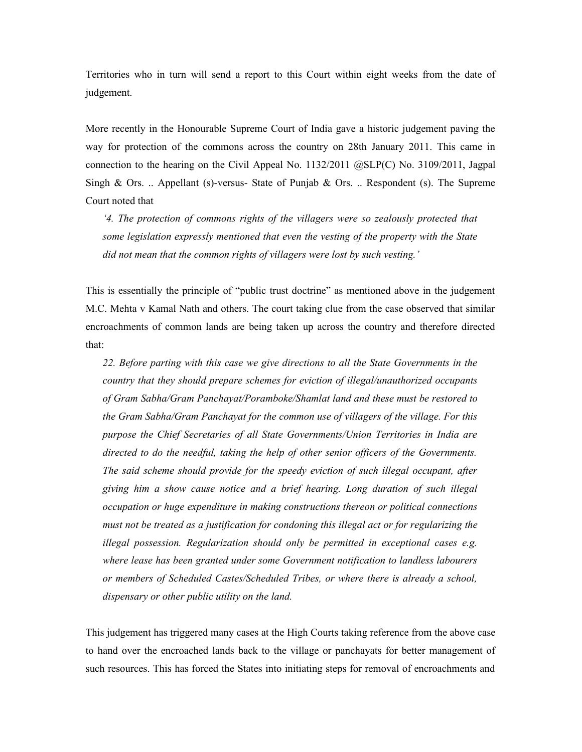Territories who in turn will send a report to this Court within eight weeks from the date of judgement.

More recently in the Honourable Supreme Court of India gave a historic judgement paving the way for protection of the commons across the country on 28th January 2011. This came in connection to the hearing on the Civil Appeal No. 1132/2011 @SLP(C) No. 3109/2011, Jagpal Singh & Ors. .. Appellant (s)-versus- State of Punjab & Ors. .. Respondent (s). The Supreme Court noted that

*'4. The protection of commons rights of the villagers were so zealously protected that some legislation expressly mentioned that even the vesting of the property with the State did not mean that the common rights of villagers were lost by such vesting.'* 

This is essentially the principle of "public trust doctrine" as mentioned above in the judgement M.C. Mehta v Kamal Nath and others. The court taking clue from the case observed that similar encroachments of common lands are being taken up across the country and therefore directed that:

*22. Before parting with this case we give directions to all the State Governments in the country that they should prepare schemes for eviction of illegal/unauthorized occupants of Gram Sabha/Gram Panchayat/Poramboke/Shamlat land and these must be restored to the Gram Sabha/Gram Panchayat for the common use of villagers of the village. For this purpose the Chief Secretaries of all State Governments/Union Territories in India are directed to do the needful, taking the help of other senior officers of the Governments. The said scheme should provide for the speedy eviction of such illegal occupant, after giving him a show cause notice and a brief hearing. Long duration of such illegal occupation or huge expenditure in making constructions thereon or political connections must not be treated as a justification for condoning this illegal act or for regularizing the illegal possession. Regularization should only be permitted in exceptional cases e.g. where lease has been granted under some Government notification to landless labourers or members of Scheduled Castes/Scheduled Tribes, or where there is already a school, dispensary or other public utility on the land.*

This judgement has triggered many cases at the High Courts taking reference from the above case to hand over the encroached lands back to the village or panchayats for better management of such resources. This has forced the States into initiating steps for removal of encroachments and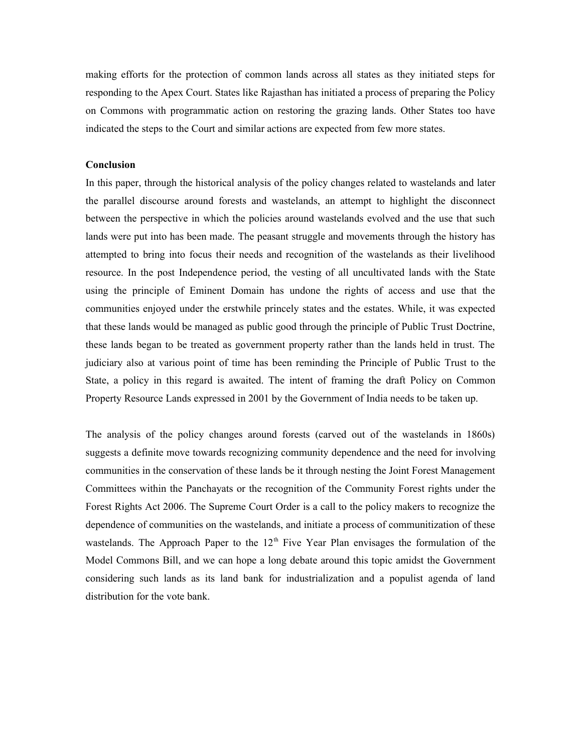making efforts for the protection of common lands across all states as they initiated steps for responding to the Apex Court. States like Rajasthan has initiated a process of preparing the Policy on Commons with programmatic action on restoring the grazing lands. Other States too have indicated the steps to the Court and similar actions are expected from few more states.

#### **Conclusion**

In this paper, through the historical analysis of the policy changes related to wastelands and later the parallel discourse around forests and wastelands, an attempt to highlight the disconnect between the perspective in which the policies around wastelands evolved and the use that such lands were put into has been made. The peasant struggle and movements through the history has attempted to bring into focus their needs and recognition of the wastelands as their livelihood resource. In the post Independence period, the vesting of all uncultivated lands with the State using the principle of Eminent Domain has undone the rights of access and use that the communities enjoyed under the erstwhile princely states and the estates. While, it was expected that these lands would be managed as public good through the principle of Public Trust Doctrine, these lands began to be treated as government property rather than the lands held in trust. The judiciary also at various point of time has been reminding the Principle of Public Trust to the State, a policy in this regard is awaited. The intent of framing the draft Policy on Common Property Resource Lands expressed in 2001 by the Government of India needs to be taken up.

The analysis of the policy changes around forests (carved out of the wastelands in 1860s) suggests a definite move towards recognizing community dependence and the need for involving communities in the conservation of these lands be it through nesting the Joint Forest Management Committees within the Panchayats or the recognition of the Community Forest rights under the Forest Rights Act 2006. The Supreme Court Order is a call to the policy makers to recognize the dependence of communities on the wastelands, and initiate a process of communitization of these wastelands. The Approach Paper to the  $12<sup>th</sup>$  Five Year Plan envisages the formulation of the Model Commons Bill, and we can hope a long debate around this topic amidst the Government considering such lands as its land bank for industrialization and a populist agenda of land distribution for the vote bank.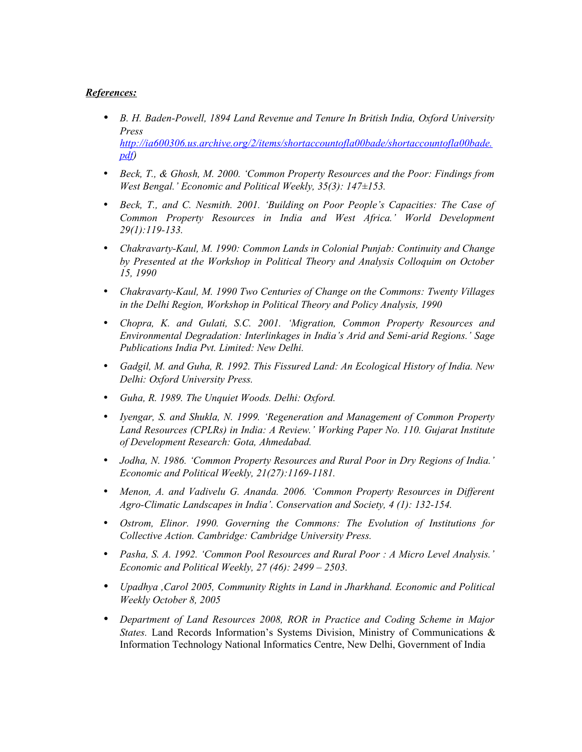# *References:*

- *B. H. Baden-Powell, 1894 Land Revenue and Tenure In British India, Oxford University Press [http://ia600306.us.archive.org/2/items/shortaccountofla00bade/shortaccountofla00bade.](http://ia600306.us.archive.org/2/items/shortaccountofla00bade/shortaccountofla00bade.pdf) [pdf\)](http://ia600306.us.archive.org/2/items/shortaccountofla00bade/shortaccountofla00bade.pdf)*
- *Beck, T., & Ghosh, M. 2000. 'Common Property Resources and the Poor: Findings from West Bengal.' Economic and Political Weekly, 35(3): 147±153.*
- *Beck, T., and C. Nesmith. 2001. 'Building on Poor People's Capacities: The Case of Common Property Resources in India and West Africa.' World Development 29(1):119-133.*
- *Chakravarty-Kaul, M. 1990: Common Lands in Colonial Punjab: Continuity and Change by Presented at the Workshop in Political Theory and Analysis Colloquim on October 15, 1990*
- *Chakravarty-Kaul, M. 1990 Two Centuries of Change on the Commons: Twenty Villages in the Delhi Region, Workshop in Political Theory and Policy Analysis, 1990*
- *Chopra, K. and Gulati, S.C. 2001. 'Migration, Common Property Resources and Environmental Degradation: Interlinkages in India's Arid and Semi-arid Regions.' Sage Publications India Pvt. Limited: New Delhi.*
- *Gadgil, M. and Guha, R. 1992. This Fissured Land: An Ecological History of India. New Delhi: Oxford University Press.*
- *Guha, R. 1989. The Unquiet Woods. Delhi: Oxford.*
- *Iyengar, S. and Shukla, N. 1999. 'Regeneration and Management of Common Property Land Resources (CPLRs) in India: A Review.' Working Paper No. 110. Gujarat Institute of Development Research: Gota, Ahmedabad.*
- *Jodha, N. 1986. 'Common Property Resources and Rural Poor in Dry Regions of India.' Economic and Political Weekly, 21(27):1169-1181.*
- *Menon, A. and Vadivelu G. Ananda. 2006. 'Common Property Resources in Different Agro-Climatic Landscapes in India'. Conservation and Society, 4 (1): 132-154.*
- *Ostrom, Elinor. 1990. Governing the Commons: The Evolution of Institutions for Collective Action. Cambridge: Cambridge University Press.*
- *Pasha, S. A. 1992. 'Common Pool Resources and Rural Poor : A Micro Level Analysis.' Economic and Political Weekly, 27 (46): 2499 – 2503.*
- *Upadhya ,Carol 2005, Community Rights in Land in Jharkhand. Economic and Political Weekly October 8, 2005*
- *Department of Land Resources 2008, ROR in Practice and Coding Scheme in Major States.* Land Records Information's Systems Division, Ministry of Communications & Information Technology National Informatics Centre, New Delhi, Government of India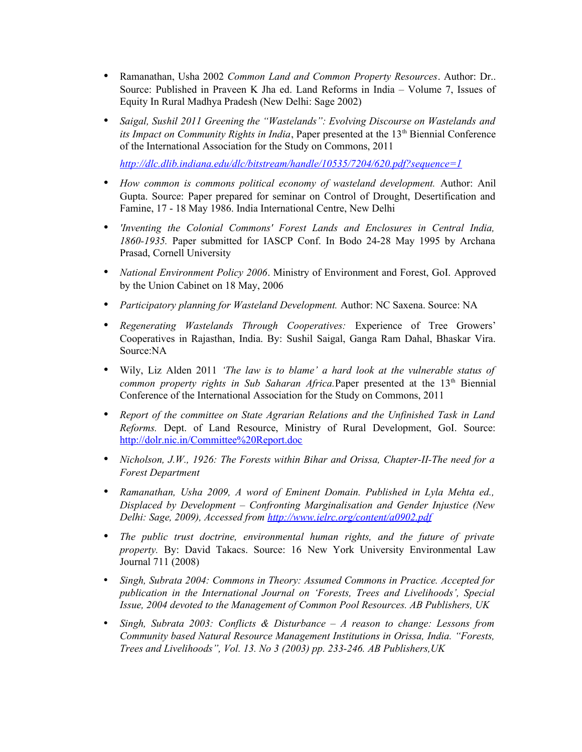- Ramanathan, Usha 2002 *Common Land and Common Property Resources*. Author: Dr.. Source: Published in Praveen K Jha ed. Land Reforms in India – Volume 7, Issues of Equity In Rural Madhya Pradesh (New Delhi: Sage 2002)
- *Saigal, Sushil 2011 Greening the "Wastelands": Evolving Discourse on Wastelands and its Impact on Community Rights in India*, Paper presented at the 13<sup>th</sup> Biennial Conference of the International Association for the Study on Commons, 2011

*<http://dlc.dlib.indiana.edu/dlc/bitstream/handle/10535/7204/620.pdf?sequence=1>*

- *How common is commons political economy of wasteland development.* Author: Anil Gupta. Source: Paper prepared for seminar on Control of Drought, Desertification and Famine, 17 - 18 May 1986. India International Centre, New Delhi
- *'Inventing the Colonial Commons' Forest Lands and Enclosures in Central India, 1860-1935.* Paper submitted for IASCP Conf. In Bodo 24-28 May 1995 by Archana Prasad, Cornell University
- *National Environment Policy 2006*. Ministry of Environment and Forest, GoI. Approved by the Union Cabinet on 18 May, 2006
- *Participatory planning for Wasteland Development.* Author: NC Saxena. Source: NA
- *Regenerating Wastelands Through Cooperatives:* Experience of Tree Growers' Cooperatives in Rajasthan, India. By: Sushil Saigal, Ganga Ram Dahal, Bhaskar Vira. Source:NA
- Wily, Liz Alden 2011 *'The law is to blame' a hard look at the vulnerable status of common property rights in Sub Saharan Africa.Paper presented at the 13<sup>th</sup> Biennial* Conference of the International Association for the Study on Commons, 2011
- *Report of the committee on State Agrarian Relations and the Unfinished Task in Land Reforms.* Dept. of Land Resource, Ministry of Rural Development, GoI. Source: <http://dolr.nic.in/Committee%20Report.doc>
- *Nicholson, J.W., 1926: The Forests within Bihar and Orissa, Chapter-II-The need for a Forest Department*
- *Ramanathan, Usha 2009, A word of Eminent Domain. Published in Lyla Mehta ed., Displaced by Development – Confronting Marginalisation and Gender Injustice (New Delhi: Sage, 2009), Accessed from<http://www.ielrc.org/content/a0902.pdf>*
- *The public trust doctrine, environmental human rights, and the future of private property.* By: David Takacs. Source: 16 New York University Environmental Law Journal 711 (2008)
- *Singh, Subrata 2004: Commons in Theory: Assumed Commons in Practice. Accepted for publication in the International Journal on 'Forests, Trees and Livelihoods', Special Issue, 2004 devoted to the Management of Common Pool Resources. AB Publishers, UK*
- *Singh, Subrata 2003: Conflicts & Disturbance A reason to change: Lessons from Community based Natural Resource Management Institutions in Orissa, India. "Forests, Trees and Livelihoods", Vol. 13. No 3 (2003) pp. 233-246. AB Publishers,UK*